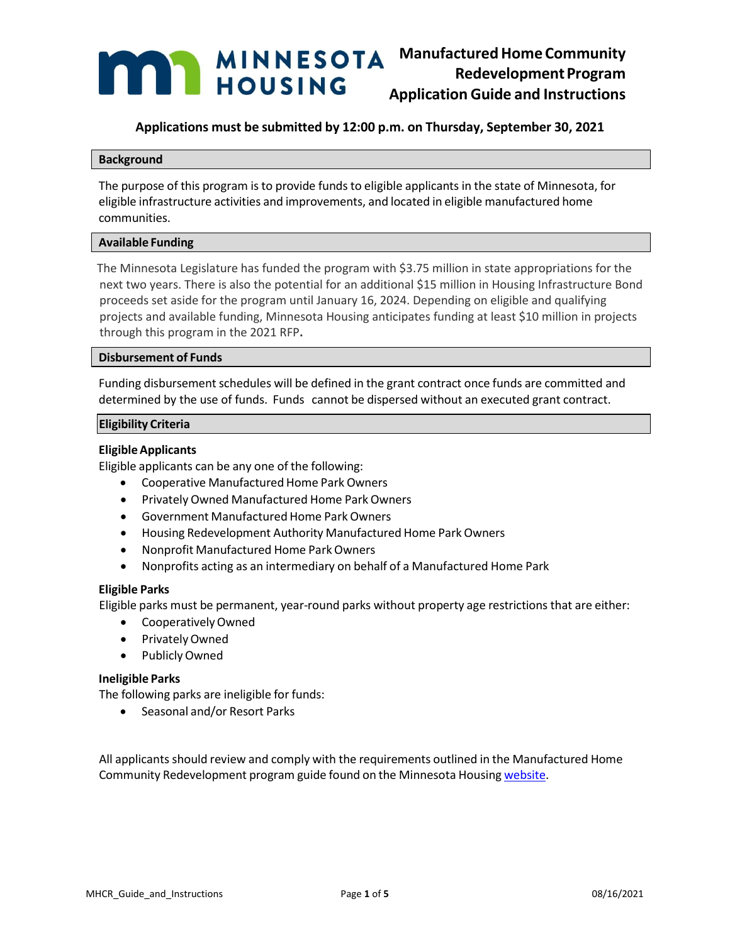# **ManufacturedHome Community RedevelopmentProgram Application Guide and Instructions**

## **Applications must be submitted by 12:00 p.m. on Thursday, September 30, 2021**

## **Background**

The purpose of this program is to provide funds to eligible applicants in the state of Minnesota, for eligible infrastructure activities and improvements, and located in eligible manufactured home communities.

## **Available Funding**

The Minnesota Legislature has funded the program with \$3.75 million in state appropriations for the next two years. There is also the potential for an additional \$15 million in Housing Infrastructure Bond proceeds set aside for the program until January 16, 2024. Depending on eligible and qualifying projects and available funding, Minnesota Housing anticipates funding at least \$10 million in projects through this program in the 2021 RFP**.**

## **Disbursement of Funds**

Funding disbursement schedules will be defined in the grant contract once funds are committed and determined by the use of funds. Funds cannot be dispersed without an executed grant contract.

## **Eligibility Criteria**

## **EligibleApplicants**

Eligible applicants can be any one of the following:

- Cooperative Manufactured Home Park Owners
- Privately Owned Manufactured Home Park Owners
- Government Manufactured Home Park Owners
- Housing Redevelopment Authority Manufactured Home ParkOwners
- Nonprofit Manufactured Home ParkOwners
- Nonprofits acting as an intermediary on behalf of a Manufactured Home Park

## **Eligible Parks**

Eligible parks must be permanent, year-round parks without property age restrictions that are either:

- CooperativelyOwned
- PrivatelyOwned
- PubliclyOwned

## **Ineligible Parks**

The following parks are ineligible for funds:

• Seasonal and/or Resort Parks

All applicants should review and comply with the requirements outlined in the Manufactured Home Community Redevelopment program guide found on the Minnesota Housing [website.](http://www.mnhousing.gov/sites/lenders/ManufacturedHousing)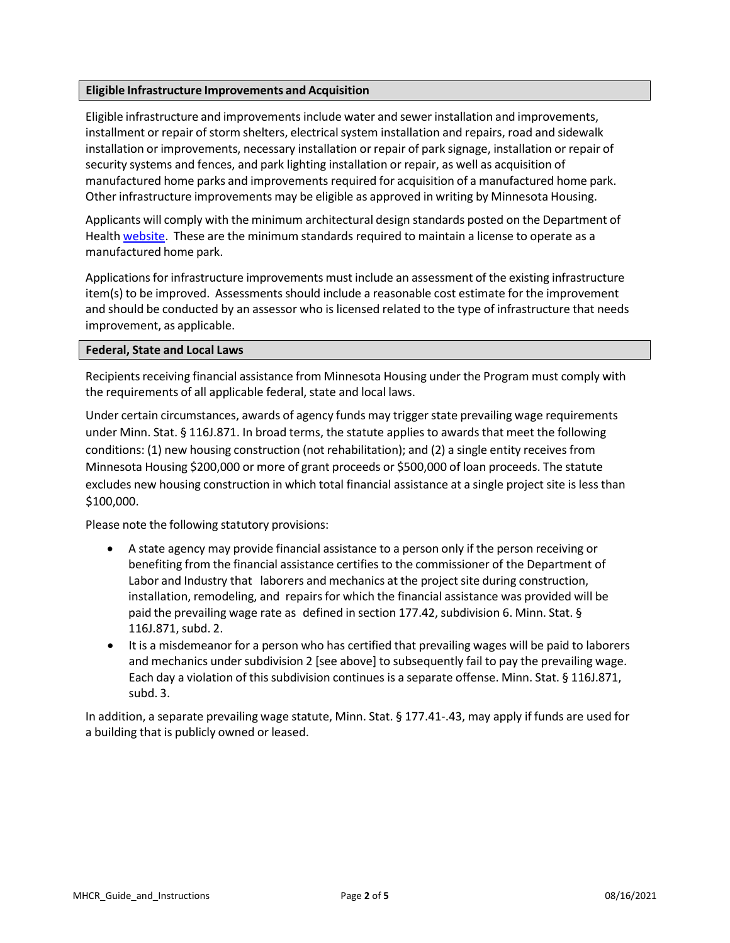## **Eligible Infrastructure Improvements and Acquisition**

Eligible infrastructure and improvementsinclude water and sewer installation and improvements, installment or repair of storm shelters, electrical system installation and repairs, road and sidewalk installation or improvements, necessary installation or repair of park signage, installation or repair of security systems and fences, and park lighting installation or repair, as well as acquisition of manufactured home parks and improvements required for acquisition of a manufactured home park. Other infrastructure improvements may be eligible as approved in writing by Minnesota Housing.

Applicants will comply with the minimum architectural design standards posted on the Department of Health [website.](https://www.health.state.mn.us/communities/environment/mhprca/mhpgenreq.html) These are the minimum standards required to maintain a license to operate as a manufactured home park.

Applications for infrastructure improvements must include an assessment of the existing infrastructure item(s) to be improved. Assessments should include a reasonable cost estimate for the improvement and should be conducted by an assessor who is licensed related to the type of infrastructure that needs improvement, as applicable.

## **Federal, State and Local Laws**

Recipients receiving financial assistance from Minnesota Housing under the Program must comply with the requirements of all applicable federal, state and local laws.

Under certain circumstances, awards of agency funds may triggerstate prevailing wage requirements under Minn. Stat. § 116J.871. In broad terms, the statute applies to awards that meet the following conditions: (1) new housing construction (not rehabilitation); and (2) a single entity receives from Minnesota Housing \$200,000 or more of grant proceeds or \$500,000 of loan proceeds. The statute excludes new housing construction in which total financial assistance at a single project site is less than \$100,000.

Please note the following statutory provisions:

- A state agency may provide financial assistance to a person only if the person receiving or benefiting from the financial assistance certifies to the commissioner of the Department of Labor and Industry that laborers and mechanics at the project site during construction, installation, remodeling, and repairs for which the financial assistance was provided will be paid the prevailing wage rate as defined in section 177.42, subdivision 6. Minn. Stat. § 116J.871, subd. 2.
- It is a misdemeanor for a person who has certified that prevailing wages will be paid to laborers and mechanics under subdivision 2 [see above] to subsequently fail to pay the prevailing wage. Each day a violation of this subdivision continues is a separate offense. Minn. Stat. § 116J.871, subd. 3.

In addition, a separate prevailing wage statute, Minn. Stat. § 177.41-.43, may apply if funds are used for a building that is publicly owned or leased.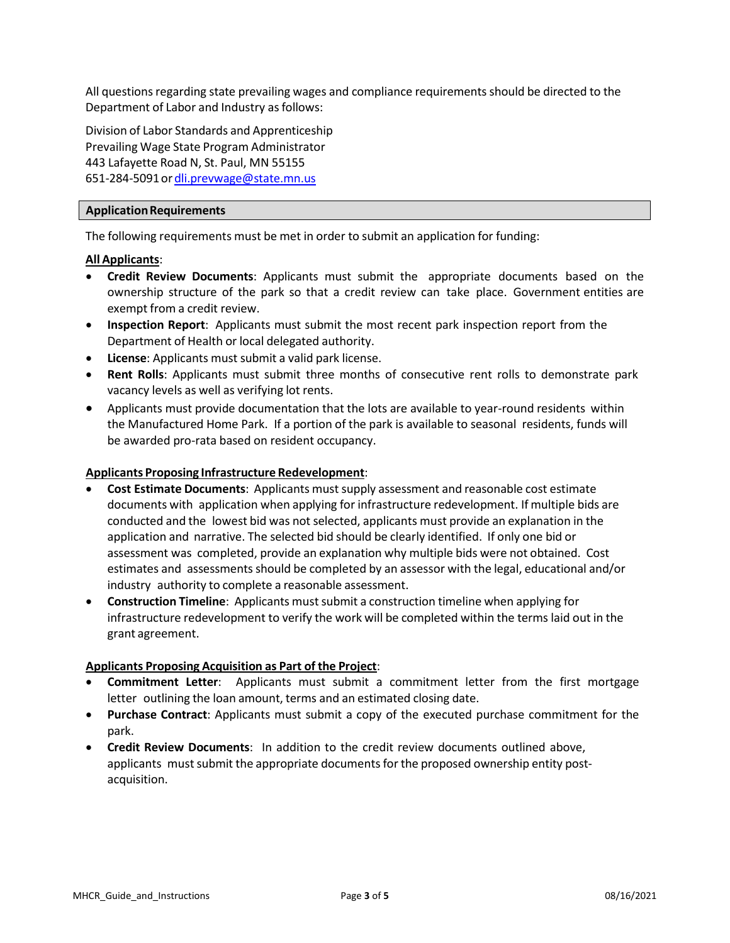All questions regarding state prevailing wages and compliance requirements should be directed to the Department of Labor and Industry as follows:

Division of Labor Standards and Apprenticeship Prevailing Wage State Program Administrator 443 Lafayette Road N, St. Paul, MN 55155 651-284-5091o[rdli.prevwage@state.mn.us](mailto:dli.prevwage@state.mn.us)

## **ApplicationRequirements**

The following requirements must be met in order to submit an application for funding:

## **All Applicants**:

- **Credit Review Documents**: Applicants must submit the appropriate documents based on the ownership structure of the park so that a credit review can take place. Government entities are exempt from a credit review.
- **Inspection Report**: Applicants must submit the most recent park inspection report from the Department of Health or local delegated authority.
- **License**: Applicants must submit a valid park license.
- **Rent Rolls**: Applicants must submit three months of consecutive rent rolls to demonstrate park vacancy levels as well as verifying lot rents.
- Applicants must provide documentation that the lots are available to year-round residents within the Manufactured Home Park. If a portion of the park is available to seasonal residents, funds will be awarded pro-rata based on resident occupancy.

## **Applicants Proposing Infrastructure Redevelopment**:

- **Cost Estimate Documents**: Applicants mustsupply assessment and reasonable cost estimate documents with application when applying for infrastructure redevelopment. If multiple bids are conducted and the lowest bid was not selected, applicants must provide an explanation in the application and narrative. The selected bid should be clearly identified. If only one bid or assessment was completed, provide an explanation why multiple bids were not obtained. Cost estimates and assessments should be completed by an assessor with the legal, educational and/or industry authority to complete a reasonable assessment.
- **Construction Timeline**: Applicants mustsubmit a construction timeline when applying for infrastructure redevelopment to verify the work will be completed within the terms laid out in the grant agreement.

## **Applicants Proposing Acquisition as Part of the Project**:

- **Commitment Letter**: Applicants must submit a commitment letter from the first mortgage letter outlining the loan amount, terms and an estimated closing date.
- **Purchase Contract**: Applicants must submit a copy of the executed purchase commitment for the park.
- **Credit Review Documents**: In addition to the credit review documents outlined above, applicants must submit the appropriate documents for the proposed ownership entity postacquisition.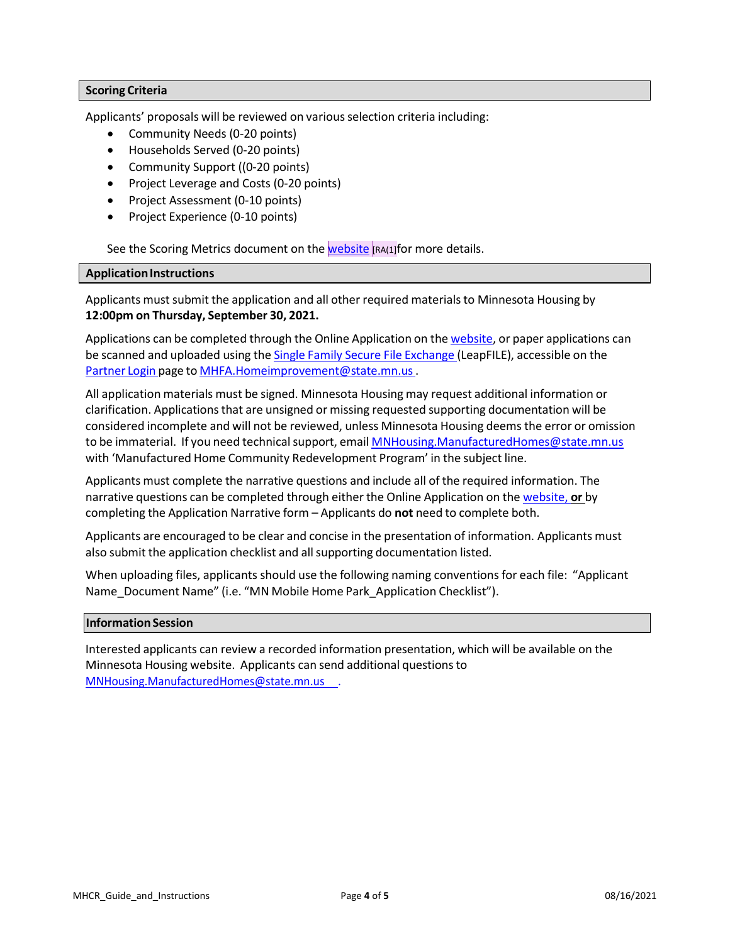## **Scoring Criteria**

Applicants' proposals will be reviewed on various selection criteria including:

- Community Needs (0-20 points)
- Households Served (0-20 points)
- Community Support ((0-20 points)
- Project Leverage and Costs (0-20 points)
- Project Assessment (0-10 points)
- Project Experience (0-10 points)

See the Scoring Metrics document on the [website](http://www.mnhousing.gov/get/MHFA_242776)  $[RA(1)]$  for more details.

## **Application Instructions**

Applicants must submit the application and all other required materials to Minnesota Housing by **12:00pm on Thursday, September 30, 2021.**

Applications can be completed through the Online Application on the [website,](http://www.mnhousing.gov/sites/lenders/ManufacturedHousing) or paper applications can be scanned and uploaded using the Single Family Secure File [Exchange](https://mnhousing.leapfile.net/fts/drop/custom/Index.jsp) (LeapFILE), accessible on th[e](http://www.mnhousing.gov/sites/np/login) [Partner](http://www.mnhousing.gov/sites/np/login) Login page to [MHFA.Homeimprovement@state.mn.us.](mailto:MNHousing.ManufacturedHomes@state.mn.us)

All application materials must be signed. Minnesota Housing may request additional information or clarification. Applicationsthat are unsigned or missing requested supporting documentation will be considered incomplete and will not be reviewed, unless Minnesota Housing deems the error or omission to be immaterial. If you need technical support, email [MNHousing.ManufacturedHomes@state.mn.us](mailto:MNHousing.ManufacturedHomes@state.mn.us) with 'Manufactured Home Community Redevelopment Program' in the subject line.

Applicants must complete the narrative questions and include all of the required information. The narrative questions can be completed through either the Online Application on the [website,](http://www.mnhousing.gov/sites/lenders/ManufacturedHousing) **or** by completing the Application Narrative form – Applicants do **not** need to complete both.

Applicants are encouraged to be clear and concise in the presentation of information. Applicants must also submit the application checklist and allsupporting documentation listed.

When uploading files, applicants should use the following naming conventions for each file: "Applicant Name\_Document Name" (i.e. "MN Mobile Home Park\_Application Checklist").

## **Information Session**

Interested applicants can review a recorded information presentation, which will be available on the Minnesota Housing website. Applicants can send additional questionsto [MNHousing.ManufacturedHomes@state.mn.us .](mailto:MNHousing.ManufacturedHomes@state.mn.us)